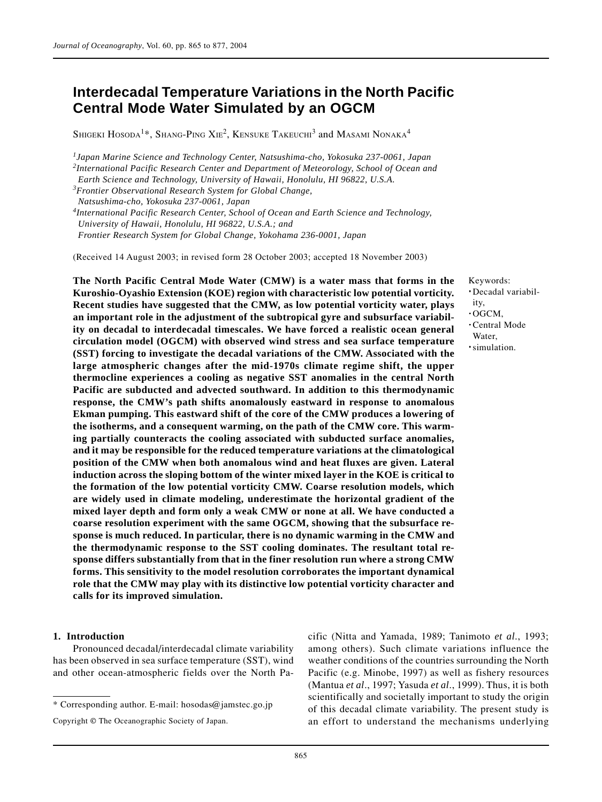# **Interdecadal Temperature Variations in the North Pacific Central Mode Water Simulated by an OGCM**

Shigeki Hosoda<sup>1\*</sup>, Shang-Ping Xie<sup>2</sup>, Kensuke Takeuchi<sup>3</sup> and Masami Nonaka<sup>4</sup>

*1 Japan Marine Science and Technology Center, Natsushima-cho, Yokosuka 237-0061, Japan 2 International Pacific Research Center and Department of Meteorology, School of Ocean and Earth Science and Technology, University of Hawaii, Honolulu, HI 96822, U.S.A.*

*3 Frontier Observational Research System for Global Change,*

 *Natsushima-cho, Yokosuka 237-0061, Japan*

*4International Pacific Research Center, School of Ocean and Earth Science and Technology, University of Hawaii, Honolulu, HI 96822, U.S.A.; and Frontier Research System for Global Change, Yokohama 236-0001, Japan*

(Received 14 August 2003; in revised form 28 October 2003; accepted 18 November 2003)

**The North Pacific Central Mode Water (CMW) is a water mass that forms in the Kuroshio-Oyashio Extension (KOE) region with characteristic low potential vorticity. Recent studies have suggested that the CMW, as low potential vorticity water, plays an important role in the adjustment of the subtropical gyre and subsurface variability on decadal to interdecadal timescales. We have forced a realistic ocean general circulation model (OGCM) with observed wind stress and sea surface temperature (SST) forcing to investigate the decadal variations of the CMW. Associated with the large atmospheric changes after the mid-1970s climate regime shift, the upper thermocline experiences a cooling as negative SST anomalies in the central North Pacific are subducted and advected southward. In addition to this thermodynamic response, the CMW's path shifts anomalously eastward in response to anomalous Ekman pumping. This eastward shift of the core of the CMW produces a lowering of the isotherms, and a consequent warming, on the path of the CMW core. This warming partially counteracts the cooling associated with subducted surface anomalies, and it may be responsible for the reduced temperature variations at the climatological position of the CMW when both anomalous wind and heat fluxes are given. Lateral induction across the sloping bottom of the winter mixed layer in the KOE is critical to the formation of the low potential vorticity CMW. Coarse resolution models, which are widely used in climate modeling, underestimate the horizontal gradient of the mixed layer depth and form only a weak CMW or none at all. We have conducted a coarse resolution experiment with the same OGCM, showing that the subsurface response is much reduced. In particular, there is no dynamic warming in the CMW and the thermodynamic response to the SST cooling dominates. The resultant total response differs substantially from that in the finer resolution run where a strong CMW forms. This sensitivity to the model resolution corroborates the important dynamical role that the CMW may play with its distinctive low potential vorticity character and calls for its improved simulation.**

# **1. Introduction**

Pronounced decadal/interdecadal climate variability has been observed in sea surface temperature (SST), wind and other ocean-atmospheric fields over the North Pacific (Nitta and Yamada, 1989; Tanimoto *et al*., 1993; among others). Such climate variations influence the weather conditions of the countries surrounding the North Pacific (e.g. Minobe, 1997) as well as fishery resources (Mantua *et al*., 1997; Yasuda *et al*., 1999). Thus, it is both scientifically and societally important to study the origin of this decadal climate variability. The present study is an effort to understand the mechanisms underlying

Keywords: ⋅ Decadal variability, ⋅ OGCM, ⋅ Central Mode

Water,

⋅ simulation.

<sup>\*</sup> Corresponding author. E-mail: hosodas@jamstec.go.jp

Copyright © The Oceanographic Society of Japan.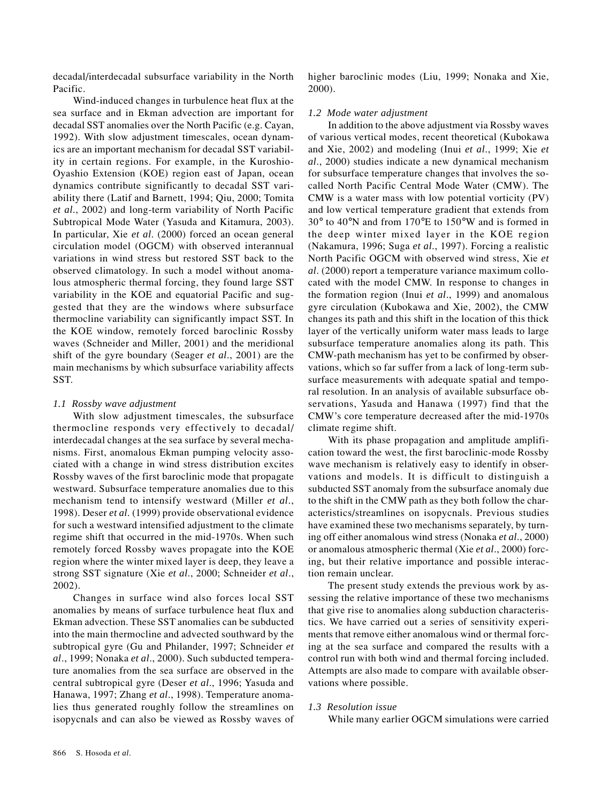decadal/interdecadal subsurface variability in the North Pacific.

Wind-induced changes in turbulence heat flux at the sea surface and in Ekman advection are important for decadal SST anomalies over the North Pacific (e.g. Cayan, 1992). With slow adjustment timescales, ocean dynamics are an important mechanism for decadal SST variability in certain regions. For example, in the Kuroshio-Oyashio Extension (KOE) region east of Japan, ocean dynamics contribute significantly to decadal SST variability there (Latif and Barnett, 1994; Qiu, 2000; Tomita *et al*., 2002) and long-term variability of North Pacific Subtropical Mode Water (Yasuda and Kitamura, 2003). In particular, Xie *et al*. (2000) forced an ocean general circulation model (OGCM) with observed interannual variations in wind stress but restored SST back to the observed climatology. In such a model without anomalous atmospheric thermal forcing, they found large SST variability in the KOE and equatorial Pacific and suggested that they are the windows where subsurface thermocline variability can significantly impact SST. In the KOE window, remotely forced baroclinic Rossby waves (Schneider and Miller, 2001) and the meridional shift of the gyre boundary (Seager *et al*., 2001) are the main mechanisms by which subsurface variability affects SST.

# *1.1 Rossby wave adjustment*

With slow adjustment timescales, the subsurface thermocline responds very effectively to decadal/ interdecadal changes at the sea surface by several mechanisms. First, anomalous Ekman pumping velocity associated with a change in wind stress distribution excites Rossby waves of the first baroclinic mode that propagate westward. Subsurface temperature anomalies due to this mechanism tend to intensify westward (Miller *et al*., 1998). Deser *et al*. (1999) provide observational evidence for such a westward intensified adjustment to the climate regime shift that occurred in the mid-1970s. When such remotely forced Rossby waves propagate into the KOE region where the winter mixed layer is deep, they leave a strong SST signature (Xie *et al*., 2000; Schneider *et al*., 2002).

Changes in surface wind also forces local SST anomalies by means of surface turbulence heat flux and Ekman advection. These SST anomalies can be subducted into the main thermocline and advected southward by the subtropical gyre (Gu and Philander, 1997; Schneider *et al*., 1999; Nonaka *et al*., 2000). Such subducted temperature anomalies from the sea surface are observed in the central subtropical gyre (Deser *et al*., 1996; Yasuda and Hanawa, 1997; Zhang *et al*., 1998). Temperature anomalies thus generated roughly follow the streamlines on isopycnals and can also be viewed as Rossby waves of higher baroclinic modes (Liu, 1999; Nonaka and Xie, 2000).

# *1.2 Mode water adjustment*

In addition to the above adjustment via Rossby waves of various vertical modes, recent theoretical (Kubokawa and Xie, 2002) and modeling (Inui *et al*., 1999; Xie *et al*., 2000) studies indicate a new dynamical mechanism for subsurface temperature changes that involves the socalled North Pacific Central Mode Water (CMW). The CMW is a water mass with low potential vorticity (PV) and low vertical temperature gradient that extends from 30° to 40°N and from 170°E to 150°W and is formed in the deep winter mixed layer in the KOE region (Nakamura, 1996; Suga *et al*., 1997). Forcing a realistic North Pacific OGCM with observed wind stress, Xie *et al*. (2000) report a temperature variance maximum collocated with the model CMW. In response to changes in the formation region (Inui *et al*., 1999) and anomalous gyre circulation (Kubokawa and Xie, 2002), the CMW changes its path and this shift in the location of this thick layer of the vertically uniform water mass leads to large subsurface temperature anomalies along its path. This CMW-path mechanism has yet to be confirmed by observations, which so far suffer from a lack of long-term subsurface measurements with adequate spatial and temporal resolution. In an analysis of available subsurface observations, Yasuda and Hanawa (1997) find that the CMW's core temperature decreased after the mid-1970s climate regime shift.

With its phase propagation and amplitude amplification toward the west, the first baroclinic-mode Rossby wave mechanism is relatively easy to identify in observations and models. It is difficult to distinguish a subducted SST anomaly from the subsurface anomaly due to the shift in the CMW path as they both follow the characteristics/streamlines on isopycnals. Previous studies have examined these two mechanisms separately, by turning off either anomalous wind stress (Nonaka *et al*., 2000) or anomalous atmospheric thermal (Xie *et al*., 2000) forcing, but their relative importance and possible interaction remain unclear.

The present study extends the previous work by assessing the relative importance of these two mechanisms that give rise to anomalies along subduction characteristics. We have carried out a series of sensitivity experiments that remove either anomalous wind or thermal forcing at the sea surface and compared the results with a control run with both wind and thermal forcing included. Attempts are also made to compare with available observations where possible.

# *1.3 Resolution issue*

While many earlier OGCM simulations were carried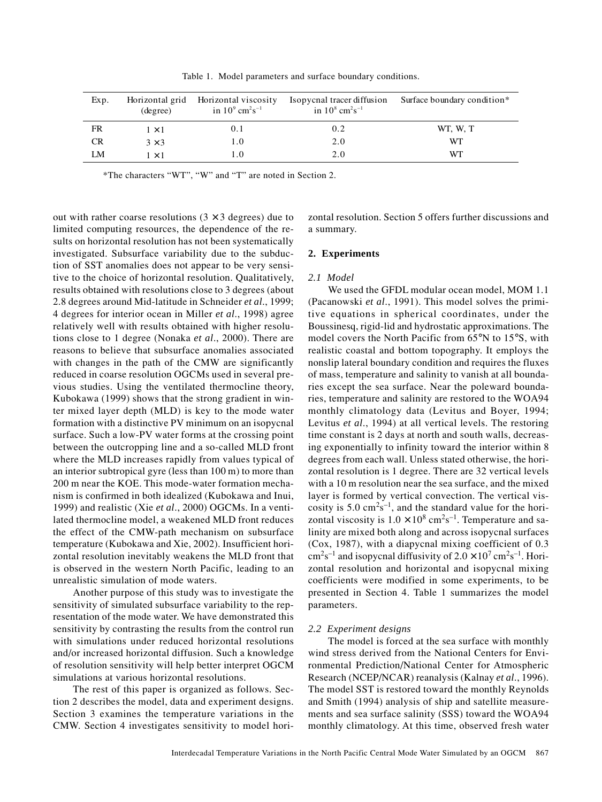| Exp. | Horizontal grid<br>(degree) | Horizontal viscosity<br>in $10^9$ cm <sup>2</sup> s <sup>-1</sup> | Isopycnal tracer diffusion<br>in $10^8$ cm <sup>2</sup> s <sup>-1</sup> | Surface boundary condition* |
|------|-----------------------------|-------------------------------------------------------------------|-------------------------------------------------------------------------|-----------------------------|
| FR   | $1 \times 1$                | 0.1                                                               | 0.2                                                                     | WT, W, T                    |
| CR.  | $3 \times 3$                | 1.0                                                               | 2.0                                                                     | WТ                          |
| LM   | $1 \times 1$                | 1.0                                                               | 2.0                                                                     | WТ                          |

Table 1. Model parameters and surface boundary conditions.

\*The characters "WT", "W" and "T" are noted in Section 2.

out with rather coarse resolutions  $(3 \times 3$  degrees) due to limited computing resources, the dependence of the results on horizontal resolution has not been systematically investigated. Subsurface variability due to the subduction of SST anomalies does not appear to be very sensitive to the choice of horizontal resolution. Qualitatively, results obtained with resolutions close to 3 degrees (about 2.8 degrees around Mid-latitude in Schneider *et al*., 1999; 4 degrees for interior ocean in Miller *et al*., 1998) agree relatively well with results obtained with higher resolutions close to 1 degree (Nonaka *et al*., 2000). There are reasons to believe that subsurface anomalies associated with changes in the path of the CMW are significantly reduced in coarse resolution OGCMs used in several previous studies. Using the ventilated thermocline theory, Kubokawa (1999) shows that the strong gradient in winter mixed layer depth (MLD) is key to the mode water formation with a distinctive PV minimum on an isopycnal surface. Such a low-PV water forms at the crossing point between the outcropping line and a so-called MLD front where the MLD increases rapidly from values typical of an interior subtropical gyre (less than 100 m) to more than 200 m near the KOE. This mode-water formation mechanism is confirmed in both idealized (Kubokawa and Inui, 1999) and realistic (Xie *et al*., 2000) OGCMs. In a ventilated thermocline model, a weakened MLD front reduces the effect of the CMW-path mechanism on subsurface temperature (Kubokawa and Xie, 2002). Insufficient horizontal resolution inevitably weakens the MLD front that is observed in the western North Pacific, leading to an unrealistic simulation of mode waters.

Another purpose of this study was to investigate the sensitivity of simulated subsurface variability to the representation of the mode water. We have demonstrated this sensitivity by contrasting the results from the control run with simulations under reduced horizontal resolutions and/or increased horizontal diffusion. Such a knowledge of resolution sensitivity will help better interpret OGCM simulations at various horizontal resolutions.

The rest of this paper is organized as follows. Section 2 describes the model, data and experiment designs. Section 3 examines the temperature variations in the CMW. Section 4 investigates sensitivity to model horizontal resolution. Section 5 offers further discussions and a summary.

## **2. Experiments**

### *2.1 Model*

We used the GFDL modular ocean model, MOM 1.1 (Pacanowski *et al*., 1991). This model solves the primitive equations in spherical coordinates, under the Boussinesq, rigid-lid and hydrostatic approximations. The model covers the North Pacific from 65°N to 15°S, with realistic coastal and bottom topography. It employs the nonslip lateral boundary condition and requires the fluxes of mass, temperature and salinity to vanish at all boundaries except the sea surface. Near the poleward boundaries, temperature and salinity are restored to the WOA94 monthly climatology data (Levitus and Boyer, 1994; Levitus *et al*., 1994) at all vertical levels. The restoring time constant is 2 days at north and south walls, decreasing exponentially to infinity toward the interior within 8 degrees from each wall. Unless stated otherwise, the horizontal resolution is 1 degree. There are 32 vertical levels with a 10 m resolution near the sea surface, and the mixed layer is formed by vertical convection. The vertical viscosity is 5.0  $\text{cm}^2\text{s}^{-1}$ , and the standard value for the horizontal viscosity is  $1.0 \times 10^8$  cm<sup>2</sup>s<sup>-1</sup>. Temperature and salinity are mixed both along and across isopycnal surfaces (Cox, 1987), with a diapycnal mixing coefficient of 0.3  $\text{cm}^2\text{s}^{-1}$  and isopycnal diffusivity of  $2.0 \times 10^7 \text{ cm}^2\text{s}^{-1}$ . Horizontal resolution and horizontal and isopycnal mixing coefficients were modified in some experiments, to be presented in Section 4. Table 1 summarizes the model parameters.

#### *2.2 Experiment designs*

The model is forced at the sea surface with monthly wind stress derived from the National Centers for Environmental Prediction/National Center for Atmospheric Research (NCEP/NCAR) reanalysis (Kalnay *et al*., 1996). The model SST is restored toward the monthly Reynolds and Smith (1994) analysis of ship and satellite measurements and sea surface salinity (SSS) toward the WOA94 monthly climatology. At this time, observed fresh water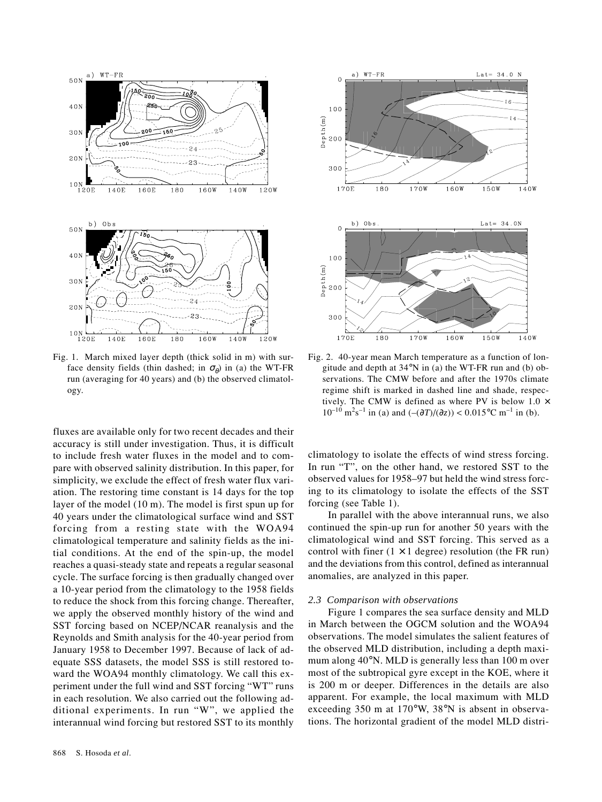

Fig. 1. March mixed layer depth (thick solid in m) with surface density fields (thin dashed; in  $\sigma_{\theta}$ ) in (a) the WT-FR run (averaging for 40 years) and (b) the observed climatology.

fluxes are available only for two recent decades and their accuracy is still under investigation. Thus, it is difficult to include fresh water fluxes in the model and to compare with observed salinity distribution. In this paper, for simplicity, we exclude the effect of fresh water flux variation. The restoring time constant is 14 days for the top layer of the model (10 m). The model is first spun up for 40 years under the climatological surface wind and SST forcing from a resting state with the WOA94 climatological temperature and salinity fields as the initial conditions. At the end of the spin-up, the model reaches a quasi-steady state and repeats a regular seasonal cycle. The surface forcing is then gradually changed over a 10-year period from the climatology to the 1958 fields to reduce the shock from this forcing change. Thereafter, we apply the observed monthly history of the wind and SST forcing based on NCEP/NCAR reanalysis and the Reynolds and Smith analysis for the 40-year period from January 1958 to December 1997. Because of lack of adequate SSS datasets, the model SSS is still restored toward the WOA94 monthly climatology. We call this experiment under the full wind and SST forcing "WT" runs in each resolution. We also carried out the following additional experiments. In run "W", we applied the interannual wind forcing but restored SST to its monthly



Fig. 2. 40-year mean March temperature as a function of longitude and depth at 34°N in (a) the WT-FR run and (b) observations. The CMW before and after the 1970s climate regime shift is marked in dashed line and shade, respectively. The CMW is defined as where PV is below  $1.0 \times$ 10<sup>-10</sup> m<sup>2</sup>s<sup>-1</sup> in (a) and (-(∂*T*)/(∂*z*)) < 0.015°C m<sup>-1</sup> in (b).

climatology to isolate the effects of wind stress forcing. In run "T", on the other hand, we restored SST to the observed values for 1958–97 but held the wind stress forcing to its climatology to isolate the effects of the SST forcing (see Table 1).

In parallel with the above interannual runs, we also continued the spin-up run for another 50 years with the climatological wind and SST forcing. This served as a control with finer  $(1 \times 1$  degree) resolution (the FR run) and the deviations from this control, defined as interannual anomalies, are analyzed in this paper.

#### *2.3 Comparison with observations*

Figure 1 compares the sea surface density and MLD in March between the OGCM solution and the WOA94 observations. The model simulates the salient features of the observed MLD distribution, including a depth maximum along 40°N. MLD is generally less than 100 m over most of the subtropical gyre except in the KOE, where it is 200 m or deeper. Differences in the details are also apparent. For example, the local maximum with MLD exceeding 350 m at 170°W, 38°N is absent in observations. The horizontal gradient of the model MLD distri-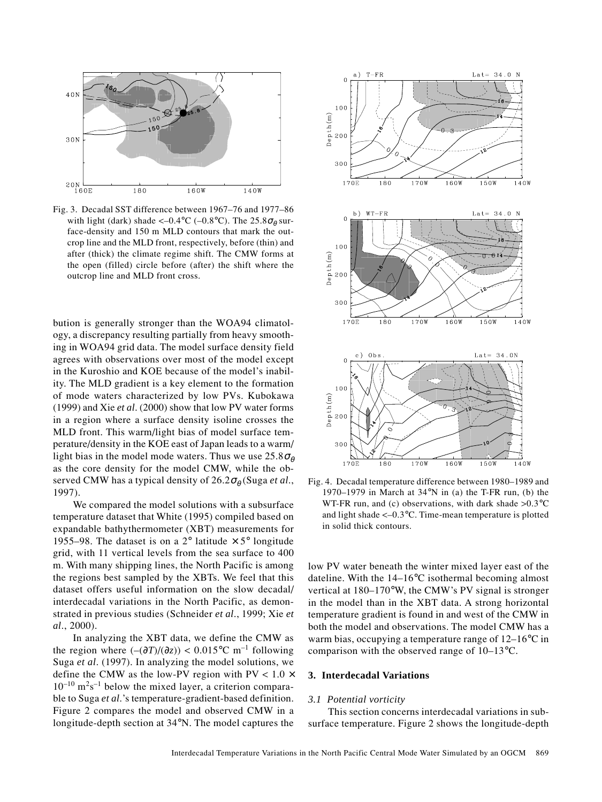

Fig. 3. Decadal SST difference between 1967–76 and 1977–86 with light (dark) shade  $\leq -0.4$ °C ( $-0.8$ °C). The 25.8 $\sigma_{\theta}$  surface-density and 150 m MLD contours that mark the outcrop line and the MLD front, respectively, before (thin) and after (thick) the climate regime shift. The CMW forms at the open (filled) circle before (after) the shift where the outcrop line and MLD front cross.

bution is generally stronger than the WOA94 climatology, a discrepancy resulting partially from heavy smoothing in WOA94 grid data. The model surface density field agrees with observations over most of the model except in the Kuroshio and KOE because of the model's inability. The MLD gradient is a key element to the formation of mode waters characterized by low PVs. Kubokawa (1999) and Xie *et al*. (2000) show that low PV water forms in a region where a surface density isoline crosses the MLD front. This warm/light bias of model surface temperature/density in the KOE east of Japan leads to a warm/ light bias in the model mode waters. Thus we use  $25.8\sigma_{\theta}$ as the core density for the model CMW, while the observed CMW has a typical density of  $26.2\sigma_{\theta}$  (Suga *et al.*, 1997).

We compared the model solutions with a subsurface temperature dataset that White (1995) compiled based on expandable bathythermometer (XBT) measurements for 1955–98. The dataset is on a  $2^{\circ}$  latitude  $\times$  5° longitude grid, with 11 vertical levels from the sea surface to 400 m. With many shipping lines, the North Pacific is among the regions best sampled by the XBTs. We feel that this dataset offers useful information on the slow decadal/ interdecadal variations in the North Pacific, as demonstrated in previous studies (Schneider *et al*., 1999; Xie *et al*., 2000).

In analyzing the XBT data, we define the CMW as the region where  $\left(-\frac{\partial T}{\partial z}\right)$  < 0.015°C m<sup>-1</sup> following Suga *et al*. (1997). In analyzing the model solutions, we define the CMW as the low-PV region with  $PV < 1.0 \times$  $10^{-10}$  m<sup>2</sup>s<sup>-1</sup> below the mixed layer, a criterion comparable to Suga *et al*.'s temperature-gradient-based definition. Figure 2 compares the model and observed CMW in a longitude-depth section at 34°N. The model captures the



Fig. 4. Decadal temperature difference between 1980–1989 and 1970–1979 in March at  $34^{\circ}$ N in (a) the T-FR run, (b) the WT-FR run, and (c) observations, with dark shade >0.3°C and light shade <–0.3°C. Time-mean temperature is plotted in solid thick contours.

low PV water beneath the winter mixed layer east of the dateline. With the 14–16°C isothermal becoming almost vertical at 180–170°W, the CMW's PV signal is stronger in the model than in the XBT data. A strong horizontal temperature gradient is found in and west of the CMW in both the model and observations. The model CMW has a warm bias, occupying a temperature range of 12–16°C in comparison with the observed range of 10–13°C.

## **3. Interdecadal Variations**

#### *3.1 Potential vorticity*

This section concerns interdecadal variations in subsurface temperature. Figure 2 shows the longitude-depth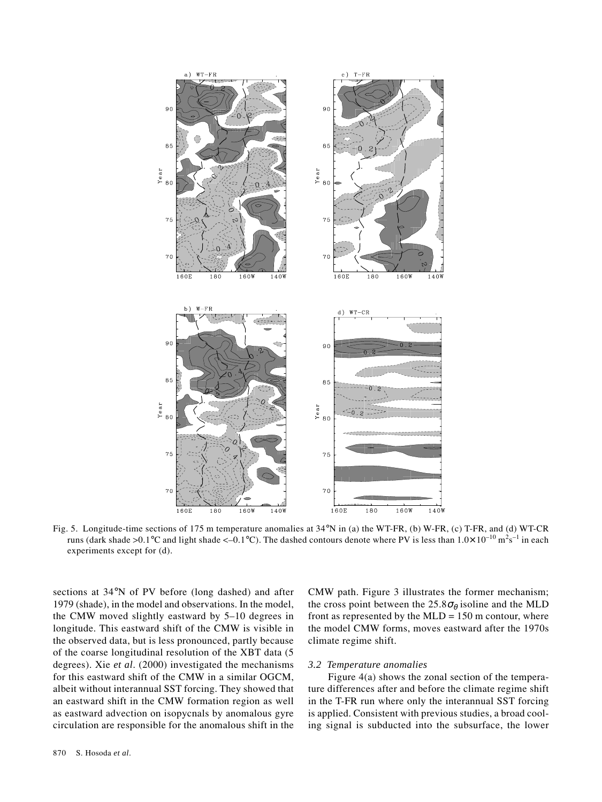

Fig. 5. Longitude-time sections of 175 m temperature anomalies at 34°N in (a) the WT-FR, (b) W-FR, (c) T-FR, and (d) WT-CR runs (dark shade >0.1°C and light shade <-0.1°C). The dashed contours denote where PV is less than  $1.0 \times 10^{-10}$   $\text{m}^2\text{s}^{-1}$  in each experiments except for (d).

sections at 34°N of PV before (long dashed) and after 1979 (shade), in the model and observations. In the model, the CMW moved slightly eastward by 5–10 degrees in longitude. This eastward shift of the CMW is visible in the observed data, but is less pronounced, partly because of the coarse longitudinal resolution of the XBT data (5 degrees). Xie *et al*. (2000) investigated the mechanisms for this eastward shift of the CMW in a similar OGCM, albeit without interannual SST forcing. They showed that an eastward shift in the CMW formation region as well as eastward advection on isopycnals by anomalous gyre circulation are responsible for the anomalous shift in the

CMW path. Figure 3 illustrates the former mechanism; the cross point between the 25.8 $\sigma_{\theta}$  isoline and the MLD front as represented by the  $MLD = 150$  m contour, where the model CMW forms, moves eastward after the 1970s climate regime shift.

#### *3.2 Temperature anomalies*

Figure 4(a) shows the zonal section of the temperature differences after and before the climate regime shift in the T-FR run where only the interannual SST forcing is applied. Consistent with previous studies, a broad cooling signal is subducted into the subsurface, the lower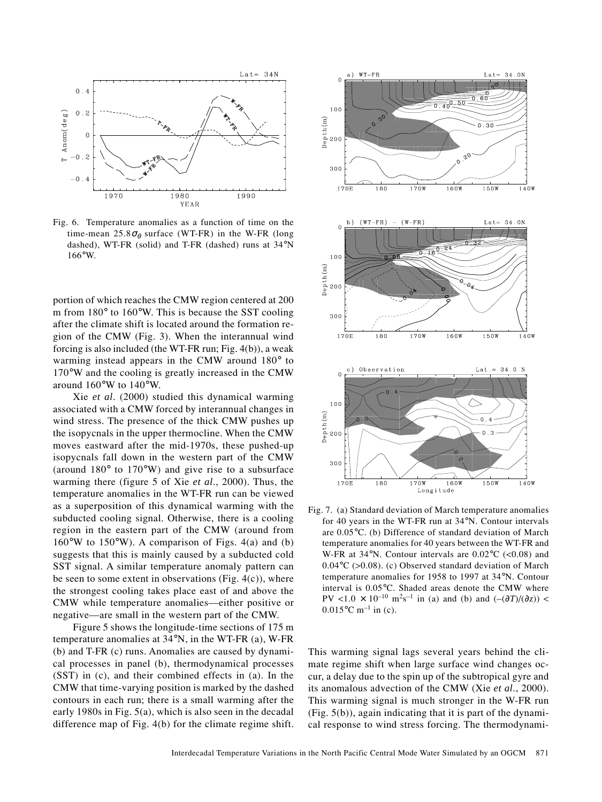

Fig. 6. Temperature anomalies as a function of time on the time-mean  $25.8\sigma_\theta$  surface (WT-FR) in the W-FR (long dashed), WT-FR (solid) and T-FR (dashed) runs at 34°N 166°W.

portion of which reaches the CMW region centered at 200 m from 180° to 160°W. This is because the SST cooling after the climate shift is located around the formation region of the CMW (Fig. 3). When the interannual wind forcing is also included (the WT-FR run; Fig. 4(b)), a weak warming instead appears in the CMW around 180° to 170°W and the cooling is greatly increased in the CMW around 160°W to 140°W.

Xie *et al*. (2000) studied this dynamical warming associated with a CMW forced by interannual changes in wind stress. The presence of the thick CMW pushes up the isopycnals in the upper thermocline. When the CMW moves eastward after the mid-1970s, these pushed-up isopycnals fall down in the western part of the CMW (around 180° to 170°W) and give rise to a subsurface warming there (figure 5 of Xie *et al*., 2000). Thus, the temperature anomalies in the WT-FR run can be viewed as a superposition of this dynamical warming with the subducted cooling signal. Otherwise, there is a cooling region in the eastern part of the CMW (around from  $160^{\circ}$ W to  $150^{\circ}$ W). A comparison of Figs. 4(a) and (b) suggests that this is mainly caused by a subducted cold SST signal. A similar temperature anomaly pattern can be seen to some extent in observations (Fig.  $4(c)$ ), where the strongest cooling takes place east of and above the CMW while temperature anomalies—either positive or negative—are small in the western part of the CMW.

Figure 5 shows the longitude-time sections of 175 m temperature anomalies at 34°N, in the WT-FR (a), W-FR (b) and T-FR (c) runs. Anomalies are caused by dynamical processes in panel (b), thermodynamical processes (SST) in (c), and their combined effects in (a). In the CMW that time-varying position is marked by the dashed contours in each run; there is a small warming after the early 1980s in Fig. 5(a), which is also seen in the decadal difference map of Fig. 4(b) for the climate regime shift.



Fig. 7. (a) Standard deviation of March temperature anomalies for 40 years in the WT-FR run at 34°N. Contour intervals are 0.05°C. (b) Difference of standard deviation of March temperature anomalies for 40 years between the WT-FR and W-FR at  $34^{\circ}$ N. Contour intervals are  $0.02^{\circ}$ C (<0.08) and 0.04°C (>0.08). (c) Observed standard deviation of March temperature anomalies for 1958 to 1997 at 34°N. Contour interval is 0.05°C. Shaded areas denote the CMW where PV <1.0  $\times$  10<sup>-10</sup> m<sup>2</sup>s<sup>-1</sup> in (a) and (b) and (-( $\partial$ *T*)/( $\partial$ *z*)) <  $0.015^{\circ}$ C m<sup>-1</sup> in (c).

This warming signal lags several years behind the climate regime shift when large surface wind changes occur, a delay due to the spin up of the subtropical gyre and its anomalous advection of the CMW (Xie *et al*., 2000). This warming signal is much stronger in the W-FR run (Fig. 5(b)), again indicating that it is part of the dynamical response to wind stress forcing. The thermodynami-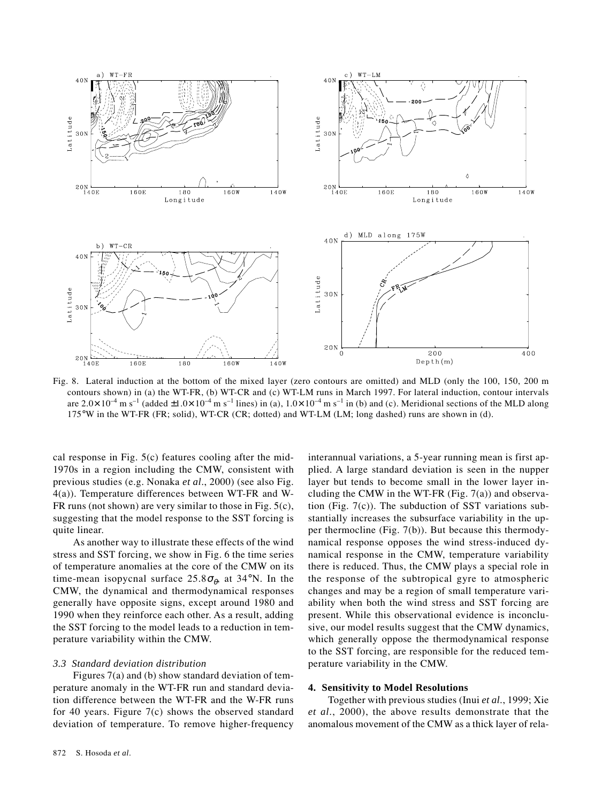

Fig. 8. Lateral induction at the bottom of the mixed layer (zero contours are omitted) and MLD (only the 100, 150, 200 m contours shown) in (a) the WT-FR, (b) WT-CR and (c) WT-LM runs in March 1997. For lateral induction, contour intervals are  $2.0 \times 10^{-4}$  m s<sup>-1</sup> (added  $\pm 1.0 \times 10^{-4}$  m s<sup>-1</sup> lines) in (a),  $1.0 \times 10^{-4}$  m s<sup>-1</sup> in (b) and (c). Meridional sections of the MLD along 175°W in the WT-FR (FR; solid), WT-CR (CR; dotted) and WT-LM (LM; long dashed) runs are shown in (d).

cal response in Fig. 5(c) features cooling after the mid-1970s in a region including the CMW, consistent with previous studies (e.g. Nonaka *et al*., 2000) (see also Fig. 4(a)). Temperature differences between WT-FR and W-FR runs (not shown) are very similar to those in Fig. 5(c), suggesting that the model response to the SST forcing is quite linear.

As another way to illustrate these effects of the wind stress and SST forcing, we show in Fig. 6 the time series of temperature anomalies at the core of the CMW on its time-mean isopycnal surface  $25.8\sigma_{\theta}$ , at 34°N. In the CMW, the dynamical and thermodynamical responses generally have opposite signs, except around 1980 and 1990 when they reinforce each other. As a result, adding the SST forcing to the model leads to a reduction in temperature variability within the CMW.

## *3.3 Standard deviation distribution*

Figures 7(a) and (b) show standard deviation of temperature anomaly in the WT-FR run and standard deviation difference between the WT-FR and the W-FR runs for 40 years. Figure 7(c) shows the observed standard deviation of temperature. To remove higher-frequency

interannual variations, a 5-year running mean is first applied. A large standard deviation is seen in the nupper layer but tends to become small in the lower layer including the CMW in the WT-FR (Fig.  $7(a)$ ) and observation (Fig.  $7(c)$ ). The subduction of SST variations substantially increases the subsurface variability in the upper thermocline (Fig. 7(b)). But because this thermodynamical response opposes the wind stress-induced dynamical response in the CMW, temperature variability there is reduced. Thus, the CMW plays a special role in the response of the subtropical gyre to atmospheric changes and may be a region of small temperature variability when both the wind stress and SST forcing are present. While this observational evidence is inconclusive, our model results suggest that the CMW dynamics, which generally oppose the thermodynamical response to the SST forcing, are responsible for the reduced temperature variability in the CMW.

## **4. Sensitivity to Model Resolutions**

Together with previous studies (Inui *et al*., 1999; Xie *et al*., 2000), the above results demonstrate that the anomalous movement of the CMW as a thick layer of rela-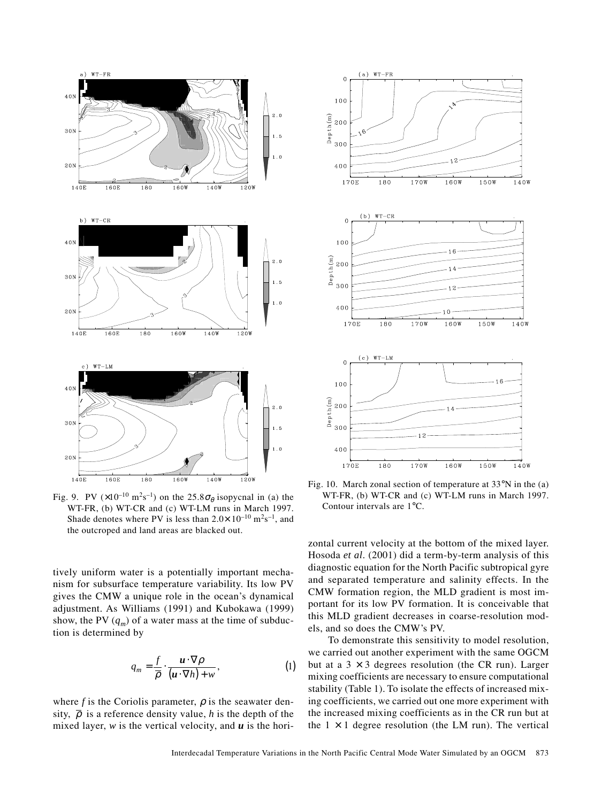

Fig. 9. PV  $(\times 10^{-10} \text{ m}^2 \text{s}^{-1})$  on the 25.8 $\sigma_\theta$  isopycnal in (a) the WT-FR, (b) WT-CR and (c) WT-LM runs in March 1997. Shade denotes where PV is less than  $2.0 \times 10^{-10}$  m<sup>2</sup>s<sup>-1</sup>, and the outcroped and land areas are blacked out.

tively uniform water is a potentially important mechanism for subsurface temperature variability. Its low PV gives the CMW a unique role in the ocean's dynamical adjustment. As Williams (1991) and Kubokawa (1999) show, the PV  $(q_m)$  of a water mass at the time of subduction is determined by

$$
q_m = \frac{f}{\overline{\rho}} \cdot \frac{\mathbf{u} \cdot \nabla \rho}{(\mathbf{u} \cdot \nabla h) + w},
$$
 (1)

where  $f$  is the Coriolis parameter,  $\rho$  is the seawater density,  $\overline{\rho}$  is a reference density value, *h* is the depth of the mixed layer, *w* is the vertical velocity, and *u* is the hori-



Fig. 10. March zonal section of temperature at 33°N in the (a) WT-FR, (b) WT-CR and (c) WT-LM runs in March 1997. Contour intervals are 1°C.

zontal current velocity at the bottom of the mixed layer. Hosoda *et al*. (2001) did a term-by-term analysis of this diagnostic equation for the North Pacific subtropical gyre and separated temperature and salinity effects. In the CMW formation region, the MLD gradient is most important for its low PV formation. It is conceivable that this MLD gradient decreases in coarse-resolution models, and so does the CMW's PV.

To demonstrate this sensitivity to model resolution, we carried out another experiment with the same OGCM but at a  $3 \times 3$  degrees resolution (the CR run). Larger mixing coefficients are necessary to ensure computational stability (Table 1). To isolate the effects of increased mixing coefficients, we carried out one more experiment with the increased mixing coefficients as in the CR run but at the  $1 \times 1$  degree resolution (the LM run). The vertical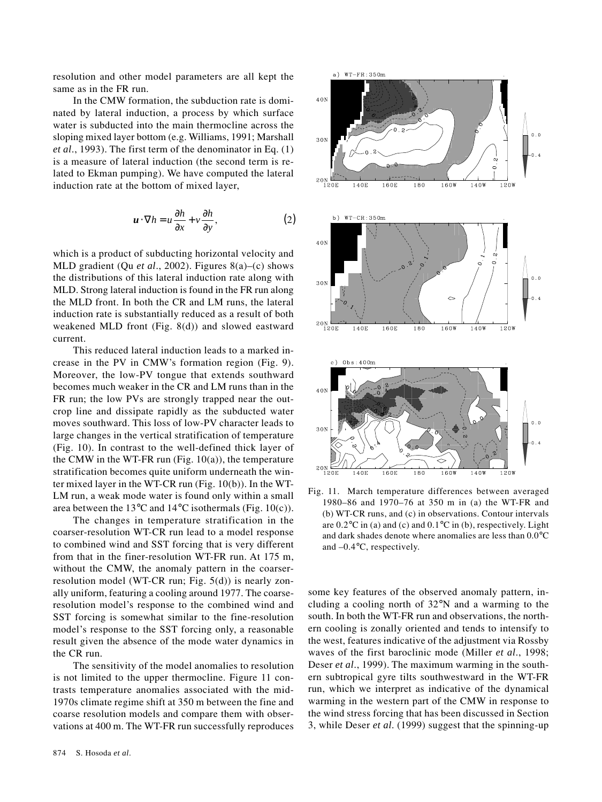resolution and other model parameters are all kept the same as in the FR run.

In the CMW formation, the subduction rate is dominated by lateral induction, a process by which surface water is subducted into the main thermocline across the sloping mixed layer bottom (e.g. Williams, 1991; Marshall *et al*., 1993). The first term of the denominator in Eq. (1) is a measure of lateral induction (the second term is related to Ekman pumping). We have computed the lateral induction rate at the bottom of mixed layer,

$$
\mathbf{u} \cdot \nabla h = u \frac{\partial h}{\partial x} + v \frac{\partial h}{\partial y},\tag{2}
$$

which is a product of subducting horizontal velocity and MLD gradient (Qu *et al*., 2002). Figures 8(a)–(c) shows the distributions of this lateral induction rate along with MLD. Strong lateral induction is found in the FR run along the MLD front. In both the CR and LM runs, the lateral induction rate is substantially reduced as a result of both weakened MLD front (Fig. 8(d)) and slowed eastward current.

This reduced lateral induction leads to a marked increase in the PV in CMW's formation region (Fig. 9). Moreover, the low-PV tongue that extends southward becomes much weaker in the CR and LM runs than in the FR run; the low PVs are strongly trapped near the outcrop line and dissipate rapidly as the subducted water moves southward. This loss of low-PV character leads to large changes in the vertical stratification of temperature (Fig. 10). In contrast to the well-defined thick layer of the CMW in the WT-FR run (Fig.  $10(a)$ ), the temperature stratification becomes quite uniform underneath the winter mixed layer in the WT-CR run (Fig. 10(b)). In the WT-LM run, a weak mode water is found only within a small area between the 13<sup>o</sup>C and 14<sup>o</sup>C isothermals (Fig. 10(c)).

The changes in temperature stratification in the coarser-resolution WT-CR run lead to a model response to combined wind and SST forcing that is very different from that in the finer-resolution WT-FR run. At 175 m, without the CMW, the anomaly pattern in the coarserresolution model (WT-CR run; Fig. 5(d)) is nearly zonally uniform, featuring a cooling around 1977. The coarseresolution model's response to the combined wind and SST forcing is somewhat similar to the fine-resolution model's response to the SST forcing only, a reasonable result given the absence of the mode water dynamics in the CR run.

The sensitivity of the model anomalies to resolution is not limited to the upper thermocline. Figure 11 contrasts temperature anomalies associated with the mid-1970s climate regime shift at 350 m between the fine and coarse resolution models and compare them with observations at 400 m. The WT-FR run successfully reproduces



Fig. 11. March temperature differences between averaged 1980–86 and 1970–76 at 350 m in (a) the WT-FR and (b) WT-CR runs, and (c) in observations. Contour intervals are 0.2°C in (a) and (c) and 0.1°C in (b), respectively. Light and dark shades denote where anomalies are less than 0.0°C and –0.4°C, respectively.

some key features of the observed anomaly pattern, including a cooling north of 32°N and a warming to the south. In both the WT-FR run and observations, the northern cooling is zonally oriented and tends to intensify to the west, features indicative of the adjustment via Rossby waves of the first baroclinic mode (Miller *et al*., 1998; Deser *et al*., 1999). The maximum warming in the southern subtropical gyre tilts southwestward in the WT-FR run, which we interpret as indicative of the dynamical warming in the western part of the CMW in response to the wind stress forcing that has been discussed in Section 3, while Deser *et al*. (1999) suggest that the spinning-up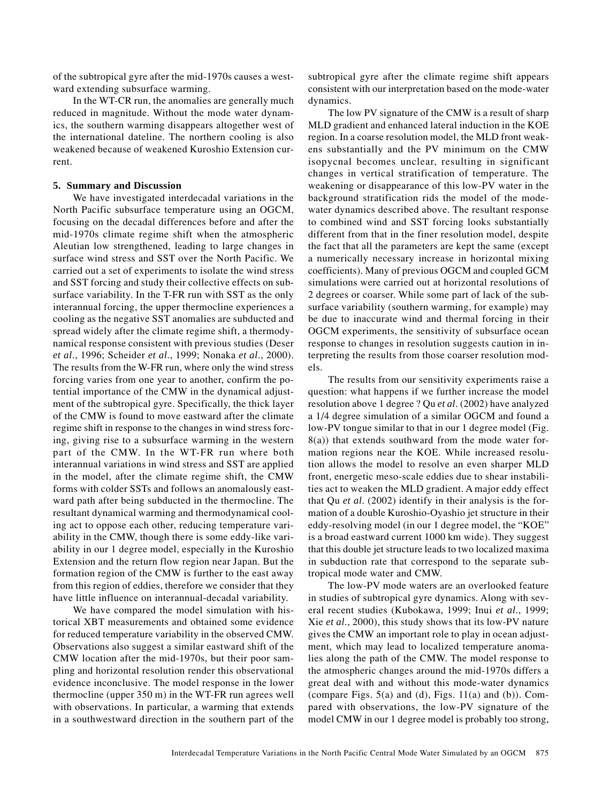of the subtropical gyre after the mid-1970s causes a westward extending subsurface warming.

In the WT-CR run, the anomalies are generally much reduced in magnitude. Without the mode water dynamics, the southern warming disappears altogether west of the international dateline. The northern cooling is also weakened because of weakened Kuroshio Extension current.

## **5. Summary and Discussion**

We have investigated interdecadal variations in the North Pacific subsurface temperature using an OGCM, focusing on the decadal differences before and after the mid-1970s climate regime shift when the atmospheric Aleutian low strengthened, leading to large changes in surface wind stress and SST over the North Pacific. We carried out a set of experiments to isolate the wind stress and SST forcing and study their collective effects on subsurface variability. In the T-FR run with SST as the only interannual forcing, the upper thermocline experiences a cooling as the negative SST anomalies are subducted and spread widely after the climate regime shift, a thermodynamical response consistent with previous studies (Deser *et al*., 1996; Scheider *et al*., 1999; Nonaka *et al*., 2000). The results from the W-FR run, where only the wind stress forcing varies from one year to another, confirm the potential importance of the CMW in the dynamical adjustment of the subtropical gyre. Specifically, the thick layer of the CMW is found to move eastward after the climate regime shift in response to the changes in wind stress forcing, giving rise to a subsurface warming in the western part of the CMW. In the WT-FR run where both interannual variations in wind stress and SST are applied in the model, after the climate regime shift, the CMW forms with colder SSTs and follows an anomalously eastward path after being subducted in the thermocline. The resultant dynamical warming and thermodynamical cooling act to oppose each other, reducing temperature variability in the CMW, though there is some eddy-like variability in our 1 degree model, especially in the Kuroshio Extension and the return flow region near Japan. But the formation region of the CMW is further to the east away from this region of eddies, therefore we consider that they have little influence on interannual-decadal variability.

We have compared the model simulation with historical XBT measurements and obtained some evidence for reduced temperature variability in the observed CMW. Observations also suggest a similar eastward shift of the CMW location after the mid-1970s, but their poor sampling and horizontal resolution render this observational evidence inconclusive. The model response in the lower thermocline (upper 350 m) in the WT-FR run agrees well with observations. In particular, a warming that extends in a southwestward direction in the southern part of the

subtropical gyre after the climate regime shift appears consistent with our interpretation based on the mode-water dynamics.

The low PV signature of the CMW is a result of sharp MLD gradient and enhanced lateral induction in the KOE region. In a coarse resolution model, the MLD front weakens substantially and the PV minimum on the CMW isopycnal becomes unclear, resulting in significant changes in vertical stratification of temperature. The weakening or disappearance of this low-PV water in the background stratification rids the model of the modewater dynamics described above. The resultant response to combined wind and SST forcing looks substantially different from that in the finer resolution model, despite the fact that all the parameters are kept the same (except a numerically necessary increase in horizontal mixing coefficients). Many of previous OGCM and coupled GCM simulations were carried out at horizontal resolutions of 2 degrees or coarser. While some part of lack of the subsurface variability (southern warming, for example) may be due to inaccurate wind and thermal forcing in their OGCM experiments, the sensitivity of subsurface ocean response to changes in resolution suggests caution in interpreting the results from those coarser resolution models.

The results from our sensitivity experiments raise a question: what happens if we further increase the model resolution above 1 degree ? Qu *et al*. (2002) have analyzed a 1/4 degree simulation of a similar OGCM and found a low-PV tongue similar to that in our 1 degree model (Fig. 8(a)) that extends southward from the mode water formation regions near the KOE. While increased resolution allows the model to resolve an even sharper MLD front, energetic meso-scale eddies due to shear instabilities act to weaken the MLD gradient. A major eddy effect that Qu *et al*. (2002) identify in their analysis is the formation of a double Kuroshio-Oyashio jet structure in their eddy-resolving model (in our 1 degree model, the "KOE" is a broad eastward current 1000 km wide). They suggest that this double jet structure leads to two localized maxima in subduction rate that correspond to the separate subtropical mode water and CMW.

The low-PV mode waters are an overlooked feature in studies of subtropical gyre dynamics. Along with several recent studies (Kubokawa, 1999; Inui *et al*., 1999; Xie *et al*., 2000), this study shows that its low-PV nature gives the CMW an important role to play in ocean adjustment, which may lead to localized temperature anomalies along the path of the CMW. The model response to the atmospheric changes around the mid-1970s differs a great deal with and without this mode-water dynamics (compare Figs.  $5(a)$  and (d), Figs.  $11(a)$  and (b)). Compared with observations, the low-PV signature of the model CMW in our 1 degree model is probably too strong,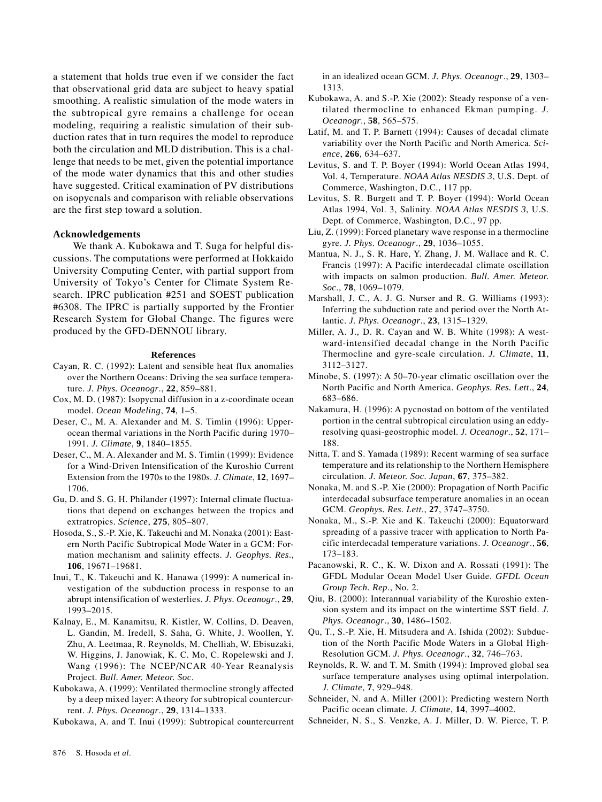a statement that holds true even if we consider the fact that observational grid data are subject to heavy spatial smoothing. A realistic simulation of the mode waters in the subtropical gyre remains a challenge for ocean modeling, requiring a realistic simulation of their subduction rates that in turn requires the model to reproduce both the circulation and MLD distribution. This is a challenge that needs to be met, given the potential importance of the mode water dynamics that this and other studies have suggested. Critical examination of PV distributions on isopycnals and comparison with reliable observations are the first step toward a solution.

## **Acknowledgements**

We thank A. Kubokawa and T. Suga for helpful discussions. The computations were performed at Hokkaido University Computing Center, with partial support from University of Tokyo's Center for Climate System Research. IPRC publication #251 and SOEST publication #6308. The IPRC is partially supported by the Frontier Research System for Global Change. The figures were produced by the GFD-DENNOU library.

#### **References**

- Cayan, R. C. (1992): Latent and sensible heat flux anomalies over the Northern Oceans: Driving the sea surface temperature. *J. Phys. Oceanogr*., **22**, 859–881.
- Cox, M. D. (1987): Isopycnal diffusion in a z-coordinate ocean model. *Ocean Modeling*, **74**, 1–5.
- Deser, C., M. A. Alexander and M. S. Timlin (1996): Upperocean thermal variations in the North Pacific during 1970– 1991. *J. Climate*, **9**, 1840–1855.
- Deser, C., M. A. Alexander and M. S. Timlin (1999): Evidence for a Wind-Driven Intensification of the Kuroshio Current Extension from the 1970s to the 1980s. *J. Climate*, **12**, 1697– 1706.
- Gu, D. and S. G. H. Philander (1997): Internal climate fluctuations that depend on exchanges between the tropics and extratropics. *Science*, **275**, 805–807.
- Hosoda, S., S.-P. Xie, K. Takeuchi and M. Nonaka (2001): Eastern North Pacific Subtropical Mode Water in a GCM: Formation mechanism and salinity effects. *J. Geophys. Res*., **106**, 19671–19681.
- Inui, T., K. Takeuchi and K. Hanawa (1999): A numerical investigation of the subduction process in response to an abrupt intensification of westerlies. *J. Phys. Oceanogr*., **29**, 1993–2015.
- Kalnay, E., M. Kanamitsu, R. Kistler, W. Collins, D. Deaven, L. Gandin, M. Iredell, S. Saha, G. White, J. Woollen, Y. Zhu, A. Leetmaa, R. Reynolds, M. Chelliah, W. Ebisuzaki, W. Higgins, J. Janowiak, K. C. Mo, C. Ropelewski and J. Wang (1996): The NCEP/NCAR 40-Year Reanalysis Project. *Bull. Amer. Meteor. Soc*.
- Kubokawa, A. (1999): Ventilated thermocline strongly affected by a deep mixed layer: A theory for subtropical countercurrent. *J. Phys. Oceanogr*., **29**, 1314–1333.

Kubokawa, A. and T. Inui (1999): Subtropical countercurrent

in an idealized ocean GCM. *J. Phys. Oceanogr*., **29**, 1303– 1313.

- Kubokawa, A. and S.-P. Xie (2002): Steady response of a ventilated thermocline to enhanced Ekman pumping. *J. Oceanogr*., **58**, 565–575.
- Latif, M. and T. P. Barnett (1994): Causes of decadal climate variability over the North Pacific and North America. *Science*, **266**, 634–637.
- Levitus, S. and T. P. Boyer (1994): World Ocean Atlas 1994, Vol. 4, Temperature. *NOAA Atlas NESDIS 3*, U.S. Dept. of Commerce, Washington, D.C., 117 pp.
- Levitus, S. R. Burgett and T. P. Boyer (1994): World Ocean Atlas 1994, Vol. 3, Salinity. *NOAA Atlas NESDIS 3*, U.S. Dept. of Commerce, Washington, D.C., 97 pp.
- Liu, Z. (1999): Forced planetary wave response in a thermocline gyre. *J. Phys. Oceanogr*., **29**, 1036–1055.
- Mantua, N. J., S. R. Hare, Y. Zhang, J. M. Wallace and R. C. Francis (1997): A Pacific interdecadal climate oscillation with impacts on salmon production. *Bull. Amer. Meteor. Soc*., **78**, 1069–1079.
- Marshall, J. C., A. J. G. Nurser and R. G. Williams (1993): Inferring the subduction rate and period over the North Atlantic. *J. Phys. Oceanogr*., **23**, 1315–1329.
- Miller, A. J., D. R. Cayan and W. B. White (1998): A westward-intensified decadal change in the North Pacific Thermocline and gyre-scale circulation. *J. Climate*, **11**, 3112–3127.
- Minobe, S. (1997): A 50–70-year climatic oscillation over the North Pacific and North America. *Geophys. Res. Lett*., **24**, 683–686.
- Nakamura, H. (1996): A pycnostad on bottom of the ventilated portion in the central subtropical circulation using an eddyresolving quasi-geostrophic model. *J. Oceanogr*., **52**, 171– 188.
- Nitta, T. and S. Yamada (1989): Recent warming of sea surface temperature and its relationship to the Northern Hemisphere circulation. *J. Meteor. Soc. Japan*, **67**, 375–382.
- Nonaka, M. and S.-P. Xie (2000): Propagation of North Pacific interdecadal subsurface temperature anomalies in an ocean GCM. *Geophys. Res. Lett*., **27**, 3747–3750.
- Nonaka, M., S.-P. Xie and K. Takeuchi (2000): Equatorward spreading of a passive tracer with application to North Pacific interdecadal temperature variations. *J. Oceanogr*., **56**, 173–183.
- Pacanowski, R. C., K. W. Dixon and A. Rossati (1991): The GFDL Modular Ocean Model User Guide. *GFDL Ocean Group Tech. Rep*., No. 2.
- Qiu, B. (2000): Interannual variability of the Kuroshio extension system and its impact on the wintertime SST field. *J. Phys. Oceanogr*., **30**, 1486–1502.
- Qu, T., S.-P. Xie, H. Mitsudera and A. Ishida (2002): Subduction of the North Pacific Mode Waters in a Global High-Resolution GCM. *J. Phys. Oceanogr*., **32**, 746–763.
- Reynolds, R. W. and T. M. Smith (1994): Improved global sea surface temperature analyses using optimal interpolation. *J. Climate*, **7**, 929–948.
- Schneider, N. and A. Miller (2001): Predicting western North Pacific ocean climate. *J. Climate*, **14**, 3997–4002.
- Schneider, N. S., S. Venzke, A. J. Miller, D. W. Pierce, T. P.